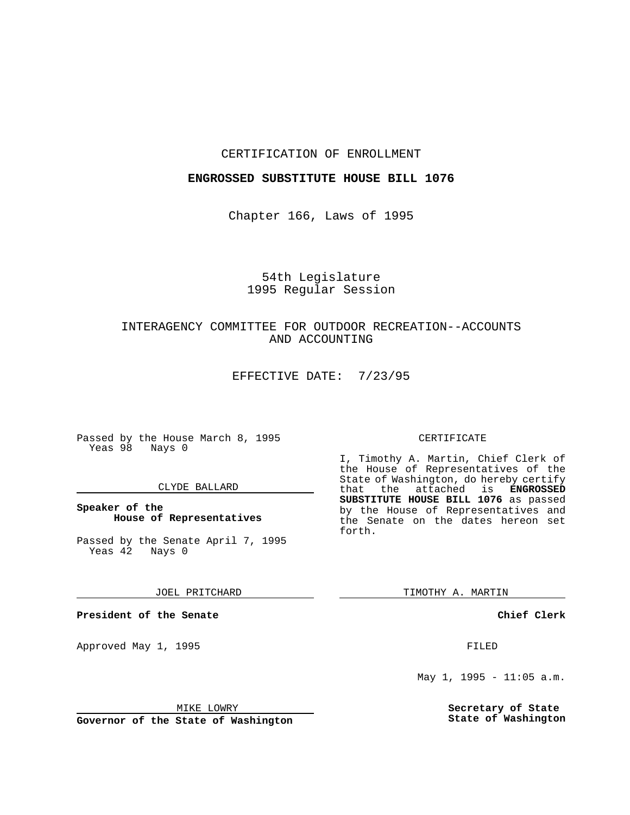### CERTIFICATION OF ENROLLMENT

### **ENGROSSED SUBSTITUTE HOUSE BILL 1076**

Chapter 166, Laws of 1995

# 54th Legislature 1995 Regular Session

# INTERAGENCY COMMITTEE FOR OUTDOOR RECREATION--ACCOUNTS AND ACCOUNTING

EFFECTIVE DATE: 7/23/95

Passed by the House March 8, 1995 Yeas 98 Nays 0

### CLYDE BALLARD

### **Speaker of the House of Representatives**

Passed by the Senate April 7, 1995<br>Yeas 42 Nays 0 Yeas 42

JOEL PRITCHARD

**President of the Senate**

Approved May 1, 1995 **FILED** 

MIKE LOWRY

**Governor of the State of Washington**

#### CERTIFICATE

I, Timothy A. Martin, Chief Clerk of the House of Representatives of the State of Washington, do hereby certify that the attached is **ENGROSSED SUBSTITUTE HOUSE BILL 1076** as passed by the House of Representatives and the Senate on the dates hereon set forth.

TIMOTHY A. MARTIN

**Chief Clerk**

May 1, 1995 - 11:05 a.m.

**Secretary of State State of Washington**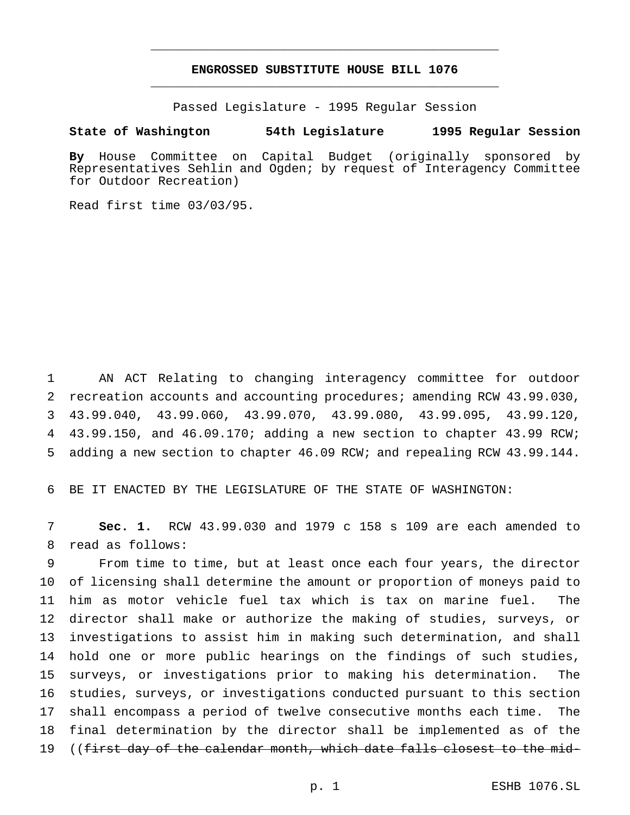# **ENGROSSED SUBSTITUTE HOUSE BILL 1076** \_\_\_\_\_\_\_\_\_\_\_\_\_\_\_\_\_\_\_\_\_\_\_\_\_\_\_\_\_\_\_\_\_\_\_\_\_\_\_\_\_\_\_\_\_\_\_

\_\_\_\_\_\_\_\_\_\_\_\_\_\_\_\_\_\_\_\_\_\_\_\_\_\_\_\_\_\_\_\_\_\_\_\_\_\_\_\_\_\_\_\_\_\_\_

Passed Legislature - 1995 Regular Session

#### **State of Washington 54th Legislature 1995 Regular Session**

**By** House Committee on Capital Budget (originally sponsored by Representatives Sehlin and Ogden; by request of Interagency Committee for Outdoor Recreation)

Read first time 03/03/95.

 AN ACT Relating to changing interagency committee for outdoor recreation accounts and accounting procedures; amending RCW 43.99.030, 43.99.040, 43.99.060, 43.99.070, 43.99.080, 43.99.095, 43.99.120, 43.99.150, and 46.09.170; adding a new section to chapter 43.99 RCW; adding a new section to chapter 46.09 RCW; and repealing RCW 43.99.144.

BE IT ENACTED BY THE LEGISLATURE OF THE STATE OF WASHINGTON:

 **Sec. 1.** RCW 43.99.030 and 1979 c 158 s 109 are each amended to read as follows:

 From time to time, but at least once each four years, the director of licensing shall determine the amount or proportion of moneys paid to him as motor vehicle fuel tax which is tax on marine fuel. The director shall make or authorize the making of studies, surveys, or investigations to assist him in making such determination, and shall hold one or more public hearings on the findings of such studies, surveys, or investigations prior to making his determination. The studies, surveys, or investigations conducted pursuant to this section shall encompass a period of twelve consecutive months each time. The final determination by the director shall be implemented as of the ((first day of the calendar month, which date falls closest to the mid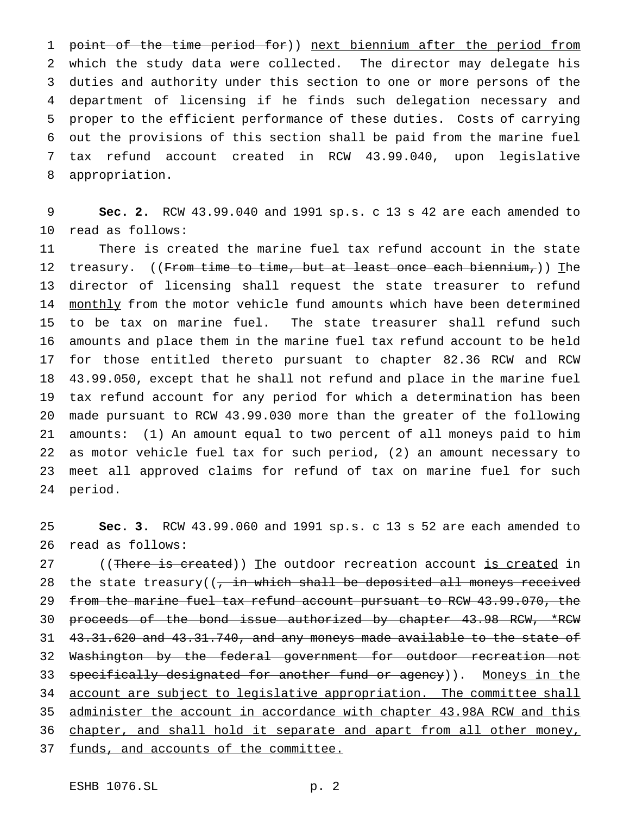1 point of the time period for)) next biennium after the period from which the study data were collected. The director may delegate his duties and authority under this section to one or more persons of the department of licensing if he finds such delegation necessary and proper to the efficient performance of these duties. Costs of carrying out the provisions of this section shall be paid from the marine fuel tax refund account created in RCW 43.99.040, upon legislative appropriation.

 **Sec. 2.** RCW 43.99.040 and 1991 sp.s. c 13 s 42 are each amended to read as follows:

 There is created the marine fuel tax refund account in the state 12 treasury. ((From time to time, but at least once each biennium,)) The director of licensing shall request the state treasurer to refund 14 monthly from the motor vehicle fund amounts which have been determined to be tax on marine fuel. The state treasurer shall refund such amounts and place them in the marine fuel tax refund account to be held for those entitled thereto pursuant to chapter 82.36 RCW and RCW 43.99.050, except that he shall not refund and place in the marine fuel tax refund account for any period for which a determination has been made pursuant to RCW 43.99.030 more than the greater of the following amounts: (1) An amount equal to two percent of all moneys paid to him as motor vehicle fuel tax for such period, (2) an amount necessary to meet all approved claims for refund of tax on marine fuel for such period.

 **Sec. 3.** RCW 43.99.060 and 1991 sp.s. c 13 s 52 are each amended to read as follows:

27 ((There is created)) The outdoor recreation account is created in 28 the state treasury( $\frac{1}{2}$  in which shall be deposited all moneys received 29 from the marine fuel tax refund account pursuant to RCW 43.99.070, the 30 proceeds of the bond issue authorized by chapter 43.98 RCW, \*RCW 43.31.620 and 43.31.740, and any moneys made available to the state of Washington by the federal government for outdoor recreation not 33 specifically designated for another fund or agency)). Moneys in the 34 account are subject to legislative appropriation. The committee shall administer the account in accordance with chapter 43.98A RCW and this 36 chapter, and shall hold it separate and apart from all other money, funds, and accounts of the committee.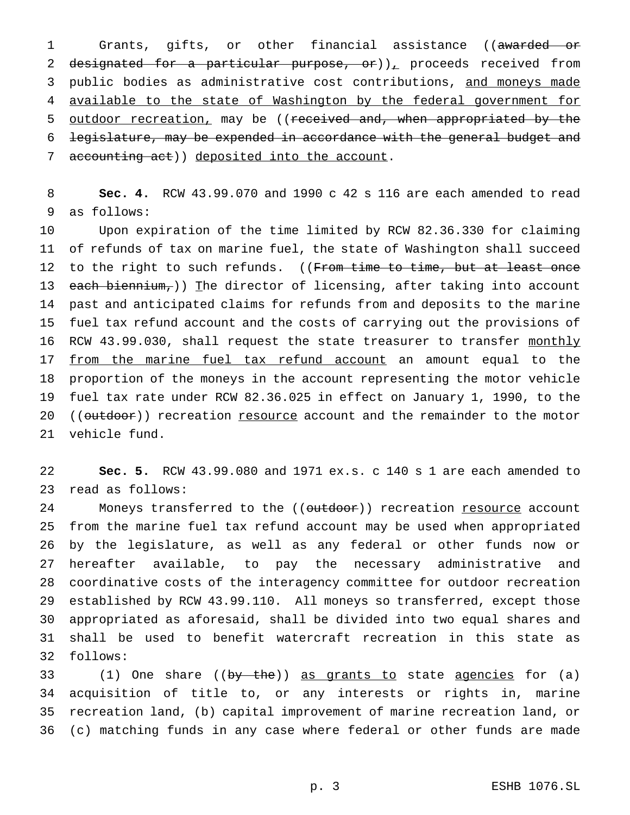1 Grants, gifts, or other financial assistance ((awarded or 2 designated for a particular purpose, or)), proceeds received from 3 public bodies as administrative cost contributions, and moneys made available to the state of Washington by the federal government for 5 <u>outdoor recreation</u>, may be ((received and, when appropriated by the legislature, may be expended in accordance with the general budget and 7 accounting act)) deposited into the account.

 **Sec. 4.** RCW 43.99.070 and 1990 c 42 s 116 are each amended to read as follows:

 Upon expiration of the time limited by RCW 82.36.330 for claiming of refunds of tax on marine fuel, the state of Washington shall succeed 12 to the right to such refunds. ((From time to time, but at least once 13 each biennium,)) The director of licensing, after taking into account past and anticipated claims for refunds from and deposits to the marine fuel tax refund account and the costs of carrying out the provisions of 16 RCW 43.99.030, shall request the state treasurer to transfer monthly 17 <u>from the marine fuel tax refund account</u> an amount equal to the proportion of the moneys in the account representing the motor vehicle fuel tax rate under RCW 82.36.025 in effect on January 1, 1990, to the 20 ((outdoor)) recreation resource account and the remainder to the motor vehicle fund.

 **Sec. 5.** RCW 43.99.080 and 1971 ex.s. c 140 s 1 are each amended to read as follows:

24 Moneys transferred to the ((outdoor)) recreation resource account from the marine fuel tax refund account may be used when appropriated by the legislature, as well as any federal or other funds now or hereafter available, to pay the necessary administrative and coordinative costs of the interagency committee for outdoor recreation established by RCW 43.99.110. All moneys so transferred, except those appropriated as aforesaid, shall be divided into two equal shares and shall be used to benefit watercraft recreation in this state as follows:

33 (1) One share ((by the)) as grants to state agencies for (a) acquisition of title to, or any interests or rights in, marine recreation land, (b) capital improvement of marine recreation land, or (c) matching funds in any case where federal or other funds are made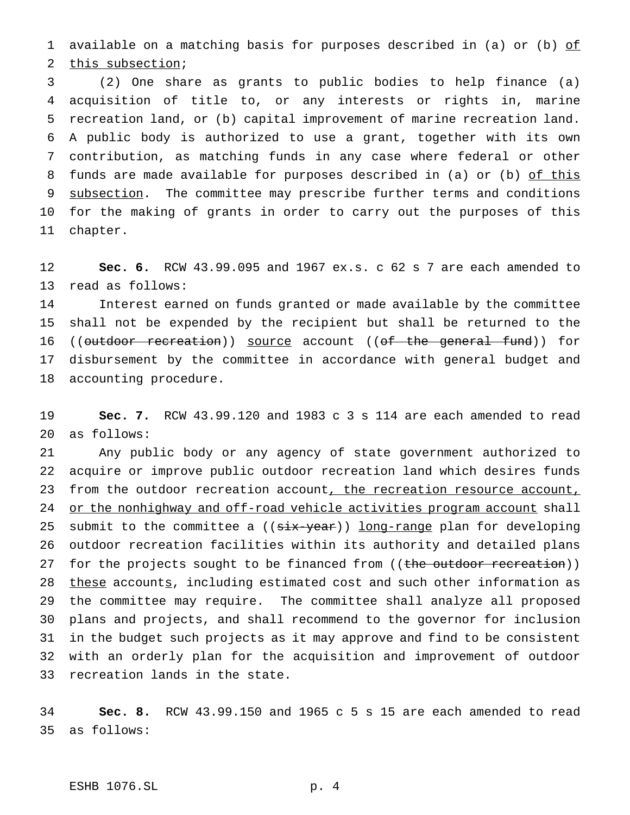available on a matching basis for purposes described in (a) or (b) of this subsection;

 (2) One share as grants to public bodies to help finance (a) acquisition of title to, or any interests or rights in, marine recreation land, or (b) capital improvement of marine recreation land. A public body is authorized to use a grant, together with its own contribution, as matching funds in any case where federal or other 8 funds are made available for purposes described in (a) or (b) of this 9 subsection. The committee may prescribe further terms and conditions for the making of grants in order to carry out the purposes of this chapter.

 **Sec. 6.** RCW 43.99.095 and 1967 ex.s. c 62 s 7 are each amended to read as follows:

 Interest earned on funds granted or made available by the committee shall not be expended by the recipient but shall be returned to the 16 ((outdoor recreation)) source account ((of the general fund)) for disbursement by the committee in accordance with general budget and accounting procedure.

 **Sec. 7.** RCW 43.99.120 and 1983 c 3 s 114 are each amended to read as follows:

 Any public body or any agency of state government authorized to acquire or improve public outdoor recreation land which desires funds 23 from the outdoor recreation account, the recreation resource account, 24 or the nonhighway and off-road vehicle activities program account shall 25 submit to the committee a ((six-year)) long-range plan for developing outdoor recreation facilities within its authority and detailed plans 27 for the projects sought to be financed from ((the outdoor recreation)) 28 these accounts, including estimated cost and such other information as the committee may require. The committee shall analyze all proposed plans and projects, and shall recommend to the governor for inclusion in the budget such projects as it may approve and find to be consistent with an orderly plan for the acquisition and improvement of outdoor recreation lands in the state.

 **Sec. 8.** RCW 43.99.150 and 1965 c 5 s 15 are each amended to read as follows: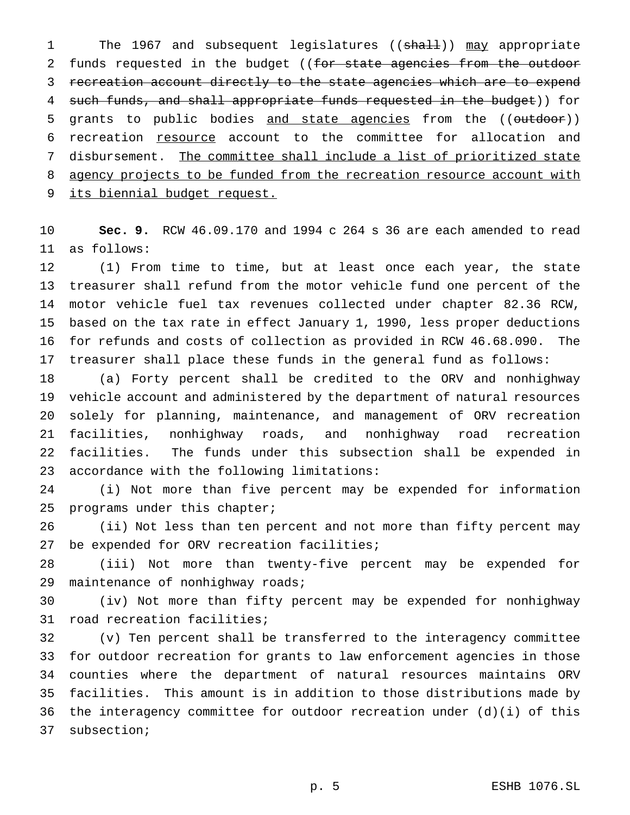1 The 1967 and subsequent legislatures ((shall)) may appropriate 2 funds requested in the budget ((for state agencies from the outdoor recreation account directly to the state agencies which are to expend 4 such funds, and shall appropriate funds requested in the budget)) for 5 grants to public bodies and state agencies from the ((outdoor)) recreation resource account to the committee for allocation and disbursement. The committee shall include a list of prioritized state 8 agency projects to be funded from the recreation resource account with 9 its biennial budget request.

 **Sec. 9.** RCW 46.09.170 and 1994 c 264 s 36 are each amended to read as follows:

 (1) From time to time, but at least once each year, the state treasurer shall refund from the motor vehicle fund one percent of the motor vehicle fuel tax revenues collected under chapter 82.36 RCW, based on the tax rate in effect January 1, 1990, less proper deductions for refunds and costs of collection as provided in RCW 46.68.090. The treasurer shall place these funds in the general fund as follows:

 (a) Forty percent shall be credited to the ORV and nonhighway vehicle account and administered by the department of natural resources solely for planning, maintenance, and management of ORV recreation facilities, nonhighway roads, and nonhighway road recreation facilities. The funds under this subsection shall be expended in accordance with the following limitations:

 (i) Not more than five percent may be expended for information programs under this chapter;

 (ii) Not less than ten percent and not more than fifty percent may be expended for ORV recreation facilities;

 (iii) Not more than twenty-five percent may be expended for maintenance of nonhighway roads;

 (iv) Not more than fifty percent may be expended for nonhighway road recreation facilities;

 (v) Ten percent shall be transferred to the interagency committee for outdoor recreation for grants to law enforcement agencies in those counties where the department of natural resources maintains ORV facilities. This amount is in addition to those distributions made by the interagency committee for outdoor recreation under (d)(i) of this subsection;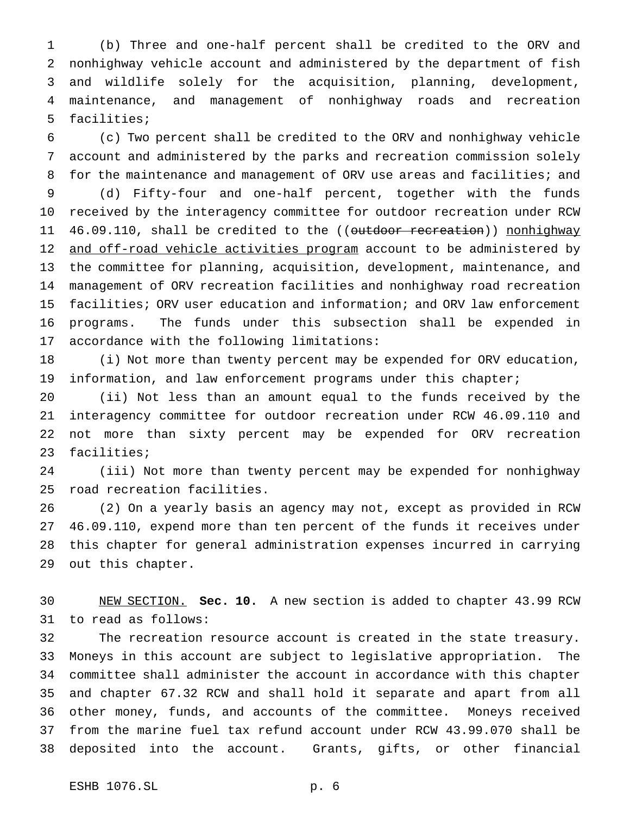(b) Three and one-half percent shall be credited to the ORV and nonhighway vehicle account and administered by the department of fish and wildlife solely for the acquisition, planning, development, maintenance, and management of nonhighway roads and recreation facilities;

 (c) Two percent shall be credited to the ORV and nonhighway vehicle account and administered by the parks and recreation commission solely 8 for the maintenance and management of ORV use areas and facilities; and

 (d) Fifty-four and one-half percent, together with the funds received by the interagency committee for outdoor recreation under RCW 11 46.09.110, shall be credited to the ((outdoor recreation)) nonhighway 12 and off-road vehicle activities program account to be administered by the committee for planning, acquisition, development, maintenance, and management of ORV recreation facilities and nonhighway road recreation facilities; ORV user education and information; and ORV law enforcement programs. The funds under this subsection shall be expended in accordance with the following limitations:

 (i) Not more than twenty percent may be expended for ORV education, information, and law enforcement programs under this chapter;

 (ii) Not less than an amount equal to the funds received by the interagency committee for outdoor recreation under RCW 46.09.110 and not more than sixty percent may be expended for ORV recreation facilities;

 (iii) Not more than twenty percent may be expended for nonhighway road recreation facilities.

 (2) On a yearly basis an agency may not, except as provided in RCW 46.09.110, expend more than ten percent of the funds it receives under this chapter for general administration expenses incurred in carrying out this chapter.

 NEW SECTION. **Sec. 10.** A new section is added to chapter 43.99 RCW to read as follows:

 The recreation resource account is created in the state treasury. Moneys in this account are subject to legislative appropriation. The committee shall administer the account in accordance with this chapter and chapter 67.32 RCW and shall hold it separate and apart from all other money, funds, and accounts of the committee. Moneys received from the marine fuel tax refund account under RCW 43.99.070 shall be deposited into the account. Grants, gifts, or other financial